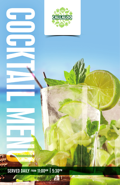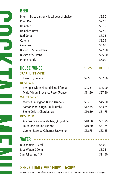| Piton $\sim$ St. Lucia's only local beer of choice |              | \$5.50        |
|----------------------------------------------------|--------------|---------------|
| <b>Piton Draft</b>                                 |              | \$7.50        |
| Heineken                                           |              | \$5.75        |
| <b>Heineken Draft</b>                              |              | \$7.50        |
| <b>Red Stripe</b>                                  |              | \$8.25        |
| Corona                                             |              | \$8.25        |
| Guinness                                           |              | \$6.00        |
| <b>Bucket of 5 Heinekens</b>                       |              | \$27.50       |
| <b>Bucket of 5 Pitons</b>                          |              | \$25.00       |
| Piton Shandy                                       |              | \$5.00        |
| <b>HOUSE WINES</b>                                 | <b>GLASS</b> | <b>BOTTLE</b> |
| <b>SPARKLING WINE</b>                              |              |               |
| Prosecco, Serena                                   | \$9.50       | \$57.50       |
| <b>ROSÉ WINE</b>                                   |              |               |
| Beringer White Zinfandel, (California)             | \$9.25       | \$45.00       |
| M de Minuty Provence Rosé, (France)                | \$11.50      | \$57.50       |
| <b>WHITE WINE</b>                                  |              |               |
| Montes Sauvignon Blanc, (France)                   | \$9.25       | \$45.00       |
| Santori Pinot Grigio, Fruili, (Italy)              | \$12.75      | \$63.25       |
| <b>Stone Cellars Chardonnay</b>                    | \$10.50      | \$51.75       |
| <b>RED WINE</b>                                    |              |               |
| Alamos by Catena Malbec, (Argentina)               | \$10.50      | \$51.75       |
| La Baume Merlot, (France)                          | \$10.50      | \$51.75       |
| Carmen Reserve Cabernet Sauvignon                  | \$12.75      | \$63.25       |
| WATER                                              |              |               |
| Blue Waters 1.5 ml                                 |              | \$5.00        |
| Blue Waters 300 ml                                 |              | \$3.25        |
| San Pellegrino 1.5                                 |              | \$11.50       |

## SERVED DAILY FROM 11:00AM | 5:30PM

COLAR HEND

٦

NASI<br>Nas

*Prices are in US Dollars and are subject to 10% Tax and 10% Service Charge*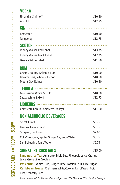| VODKA                                                                                       |         |
|---------------------------------------------------------------------------------------------|---------|
| Finlandia, Smirnoff                                                                         | \$10.50 |
| Absolut                                                                                     | \$12.75 |
| GIN ~~~~~~~~~~~~~~~~~~~~~~                                                                  |         |
| <b>Beefeater</b>                                                                            | \$10.50 |
| Tanqueray                                                                                   | \$12.75 |
| <b>SCOTCH</b><br>mmmmm                                                                      |         |
| Johnny Walker Red Label                                                                     | \$13.75 |
| Johnny Walker Black Label                                                                   | \$17.25 |
| <b>Dewars White Label</b>                                                                   | \$11.50 |
| $RUM \sim \sim \sim \sim \sim \sim \sim \sim \sim \sim$                                     |         |
| Crystal, Bounty, Kokonut Rum                                                                | \$10.00 |
| Bacardi Dark, White & Lemon                                                                 | \$10.50 |
| <b>Mount Gay Eclipse</b>                                                                    | \$10.50 |
| mmmmmm<br>TEQUILA                                                                           |         |
| Montezuma White & Gold                                                                      | \$10.00 |
| Sauza White & Gold                                                                          | \$12.75 |
| LIQUEURS ~~~~~~~~~~~~~~~~~                                                                  |         |
| Cointreau, Kahlua, Amaretto, Baileys                                                        | \$11.00 |
| NON ALCOHOLIC BEVERAGES ~~~~~~~~~~~~~~~~                                                    |         |
| <b>Select Juices</b>                                                                        | \$5.75  |
| Bentley, Lime Squash                                                                        | \$5.75  |
| Scorpion, Fruit Punch                                                                       | \$7.00  |
| Coke/Diet Coke, Sprite, Ginger Ale, Soda Water                                              | \$5.75  |
| San Pellegrino Tonic Water                                                                  | \$5.75  |
| <b>SIGNATURE COCKTAILS</b>                                                                  | \$15.00 |
| Landings Ice Tea Amaretto, Triple Sec, Pineapple Juice, Orange<br>Juice, Grenadine Droplets |         |
| Passiontini White Rum, Ginger, Lime, Passion Fruit Juice, Sugar                             |         |
| Caribbean Breeze Chairman's White, Coconut Rum, Passion Fruit                               |         |

*Prices are in US Dollars and are subject to 10% Tax and 10% Service Charge*

Juice, Cranberry Juice